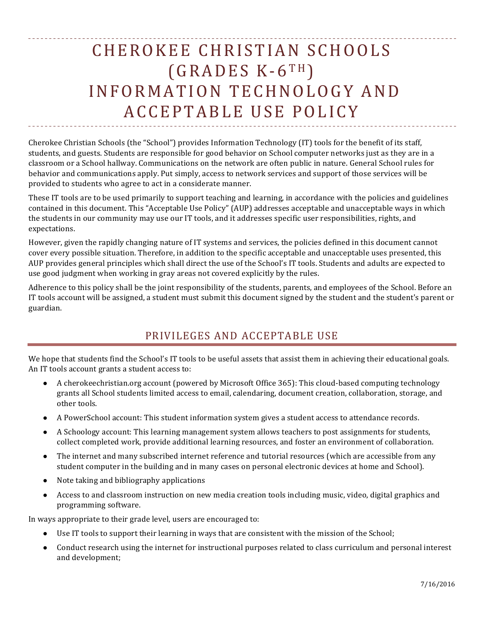# CHEROKEE CHRISTIAN SCHOOLS  $(GRADES K-6TH)$ INFORMATION TECHNOLOGY AND ACCEPTABLE USE POLICY

Cherokee Christian Schools (the "School") provides Information Technology (IT) tools for the benefit of its staff, students, and guests. Students are responsible for good behavior on School computer networks just as they are in a classroom or a School hallway. Communications on the network are often public in nature. General School rules for behavior and communications apply. Put simply, access to network services and support of those services will be provided to students who agree to act in a considerate manner.

These IT tools are to be used primarily to support teaching and learning, in accordance with the policies and guidelines contained in this document. This "Acceptable Use Policy" (AUP) addresses acceptable and unacceptable ways in which the students in our community may use our IT tools, and it addresses specific user responsibilities, rights, and expectations.

However, given the rapidly changing nature of IT systems and services, the policies defined in this document cannot cover every possible situation. Therefore, in addition to the specific acceptable and unacceptable uses presented, this AUP provides general principles which shall direct the use of the School's IT tools. Students and adults are expected to use good judgment when working in gray areas not covered explicitly by the rules.

Adherence to this policy shall be the joint responsibility of the students, parents, and employees of the School. Before an IT tools account will be assigned, a student must submit this document signed by the student and the student's parent or guardian.

## PRIVILEGES AND ACCEPTABLE USE

We hope that students find the School's IT tools to be useful assets that assist them in achieving their educational goals. An IT tools account grants a student access to:

- A cherokeechristian.org account (powered by Microsoft Office 365): This cloud-based computing technology grants all School students limited access to email, calendaring, document creation, collaboration, storage, and other tools.
- A PowerSchool account: This student information system gives a student access to attendance records.
- A Schoology account: This learning management system allows teachers to post assignments for students, collect completed work, provide additional learning resources, and foster an environment of collaboration.
- The internet and many subscribed internet reference and tutorial resources (which are accessible from any student computer in the building and in many cases on personal electronic devices at home and School).
- Note taking and bibliography applications
- Access to and classroom instruction on new media creation tools including music, video, digital graphics and programming software.

In ways appropriate to their grade level, users are encouraged to:

- Use IT tools to support their learning in ways that are consistent with the mission of the School;
- Conduct research using the internet for instructional purposes related to class curriculum and personal interest and development;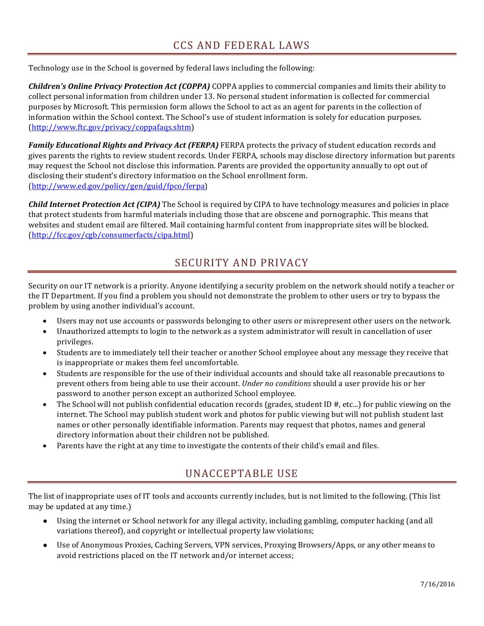Technology use in the School is governed by federal laws including the following:

*Children's Online Privacy Protection Act (COPPA)* COPPA applies to commercial companies and limits their ability to collect personal information from children under 13. No personal student information is collected for commercial purposes by Microsoft. This permission form allows the School to act as an agent for parents in the collection of information within the School context. The School's use of student information is solely for education purposes. (http://www.ftc.gov/privacy/coppafaqs.shtm)

**Family Educational Rights and Privacy Act (FERPA)** FERPA protects the privacy of student education records and gives parents the rights to review student records. Under FERPA, schools may disclose directory information but parents may request the School not disclose this information. Parents are provided the opportunity annually to opt out of disclosing their student's directory information on the School enrollment form. (http://www.ed.gov/policy/gen/guid/fpco/ferpa)

**Child Internet Protection Act (CIPA)** The School is required by CIPA to have technology measures and policies in place that protect students from harmful materials including those that are obscene and pornographic. This means that websites and student email are filtered. Mail containing harmful content from inappropriate sites will be blocked. (http://fcc.gov/cgb/consumerfacts/cipa.html)

### SECURITY AND PRIVACY

Security on our IT network is a priority. Anyone identifying a security problem on the network should notify a teacher or the IT Department. If you find a problem you should not demonstrate the problem to other users or try to bypass the problem by using another individual's account.

- Users may not use accounts or passwords belonging to other users or misrepresent other users on the network.
- Unauthorized attempts to login to the network as a system administrator will result in cancellation of user privileges.
- Students are to immediately tell their teacher or another School employee about any message they receive that is inappropriate or makes them feel uncomfortable.
- Students are responsible for the use of their individual accounts and should take all reasonable precautions to prevent others from being able to use their account. *Under no conditions* should a user provide his or her password to another person except an authorized School employee.
- The School will not publish confidential education records (grades, student ID  $#$ , etc...) for public viewing on the internet. The School may publish student work and photos for public viewing but will not publish student last names or other personally identifiable information. Parents may request that photos, names and general directory information about their children not be published.
- Parents have the right at any time to investigate the contents of their child's email and files.

### UNACCEPTABLE USE

The list of inappropriate uses of IT tools and accounts currently includes, but is not limited to the following. (This list may be updated at any time.)

- Using the internet or School network for any illegal activity, including gambling, computer hacking (and all variations thereof), and copyright or intellectual property law violations;
- Use of Anonymous Proxies, Caching Servers, VPN services, Proxying Browsers/Apps, or any other means to avoid restrictions placed on the IT network and/or internet access;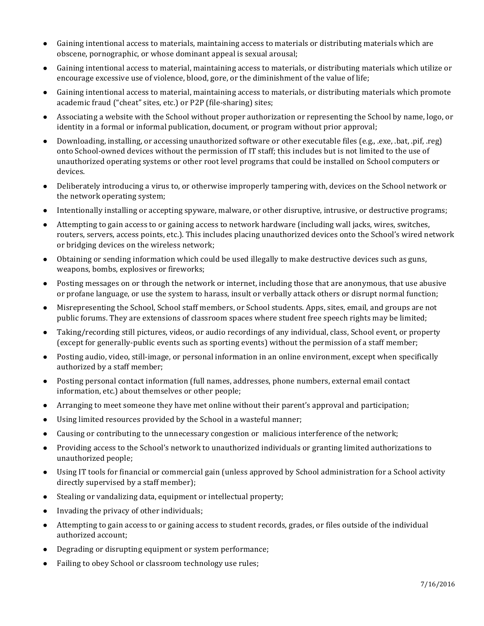- Gaining intentional access to materials, maintaining access to materials or distributing materials which are obscene, pornographic, or whose dominant appeal is sexual arousal;
- Gaining intentional access to material, maintaining access to materials, or distributing materials which utilize or encourage excessive use of violence, blood, gore, or the diminishment of the value of life;
- Gaining intentional access to material, maintaining access to materials, or distributing materials which promote academic fraud ("cheat" sites, etc.) or P2P (file-sharing) sites;
- Associating a website with the School without proper authorization or representing the School by name, logo, or identity in a formal or informal publication, document, or program without prior approval;
- Downloading, installing, or accessing unauthorized software or other executable files (e.g., .exe, .bat, .pif, .reg) onto School-owned devices without the permission of IT staff; this includes but is not limited to the use of unauthorized operating systems or other root level programs that could be installed on School computers or devices.
- Deliberately introducing a virus to, or otherwise improperly tampering with, devices on the School network or the network operating system;
- Intentionally installing or accepting spyware, malware, or other disruptive, intrusive, or destructive programs;
- Attempting to gain access to or gaining access to network hardware (including wall jacks, wires, switches, routers, servers, access points, etc.). This includes placing unauthorized devices onto the School's wired network or bridging devices on the wireless network;
- Obtaining or sending information which could be used illegally to make destructive devices such as guns, weapons, bombs, explosives or fireworks;
- Posting messages on or through the network or internet, including those that are anonymous, that use abusive or profane language, or use the system to harass, insult or verbally attack others or disrupt normal function;
- Misrepresenting the School, School staff members, or School students. Apps, sites, email, and groups are not public forums. They are extensions of classroom spaces where student free speech rights may be limited;
- Taking/recording still pictures, videos, or audio recordings of any individual, class, School event, or property (except for generally-public events such as sporting events) without the permission of a staff member;
- Posting audio, video, still-image, or personal information in an online environment, except when specifically authorized by a staff member;
- Posting personal contact information (full names, addresses, phone numbers, external email contact information, etc.) about themselves or other people;
- Arranging to meet someone they have met online without their parent's approval and participation;
- Using limited resources provided by the School in a wasteful manner;
- Causing or contributing to the unnecessary congestion or malicious interference of the network;
- Providing access to the School's network to unauthorized individuals or granting limited authorizations to unauthorized people;
- Using IT tools for financial or commercial gain (unless approved by School administration for a School activity directly supervised by a staff member);
- $\bullet$  Stealing or vandalizing data, equipment or intellectual property;
- Invading the privacy of other individuals;
- Attempting to gain access to or gaining access to student records, grades, or files outside of the individual authorized account;
- Degrading or disrupting equipment or system performance;
- Failing to obey School or classroom technology use rules;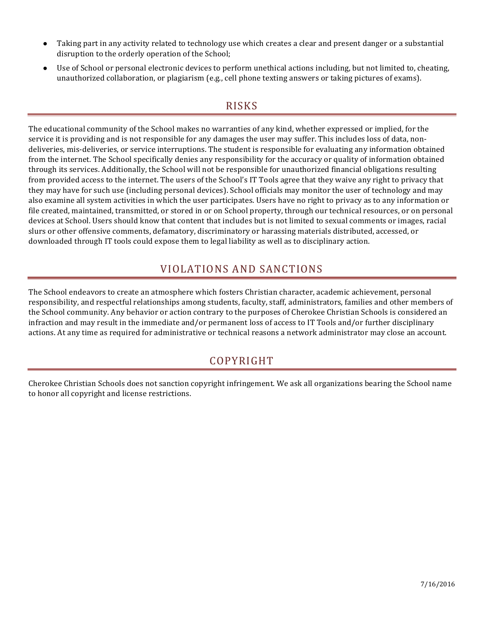- Taking part in any activity related to technology use which creates a clear and present danger or a substantial disruption to the orderly operation of the School;
- Use of School or personal electronic devices to perform unethical actions including, but not limited to, cheating, unauthorized collaboration, or plagiarism (e.g., cell phone texting answers or taking pictures of exams).

#### RISKS

The educational community of the School makes no warranties of any kind, whether expressed or implied, for the service it is providing and is not responsible for any damages the user may suffer. This includes loss of data, nondeliveries, mis-deliveries, or service interruptions. The student is responsible for evaluating any information obtained from the internet. The School specifically denies any responsibility for the accuracy or quality of information obtained through its services. Additionally, the School will not be responsible for unauthorized financial obligations resulting from provided access to the internet. The users of the School's IT Tools agree that they waive any right to privacy that they may have for such use (including personal devices). School officials may monitor the user of technology and may also examine all system activities in which the user participates. Users have no right to privacy as to any information or file created, maintained, transmitted, or stored in or on School property, through our technical resources, or on personal devices at School. Users should know that content that includes but is not limited to sexual comments or images, racial slurs or other offensive comments, defamatory, discriminatory or harassing materials distributed, accessed, or downloaded through IT tools could expose them to legal liability as well as to disciplinary action.

#### VIOLATIONS AND SANCTIONS

The School endeavors to create an atmosphere which fosters Christian character, academic achievement, personal responsibility, and respectful relationships among students, faculty, staff, administrators, families and other members of the School community. Any behavior or action contrary to the purposes of Cherokee Christian Schools is considered an infraction and may result in the immediate and/or permanent loss of access to IT Tools and/or further disciplinary actions. At any time as required for administrative or technical reasons a network administrator may close an account.

#### COPYRIGHT

Cherokee Christian Schools does not sanction copyright infringement. We ask all organizations bearing the School name to honor all copyright and license restrictions.